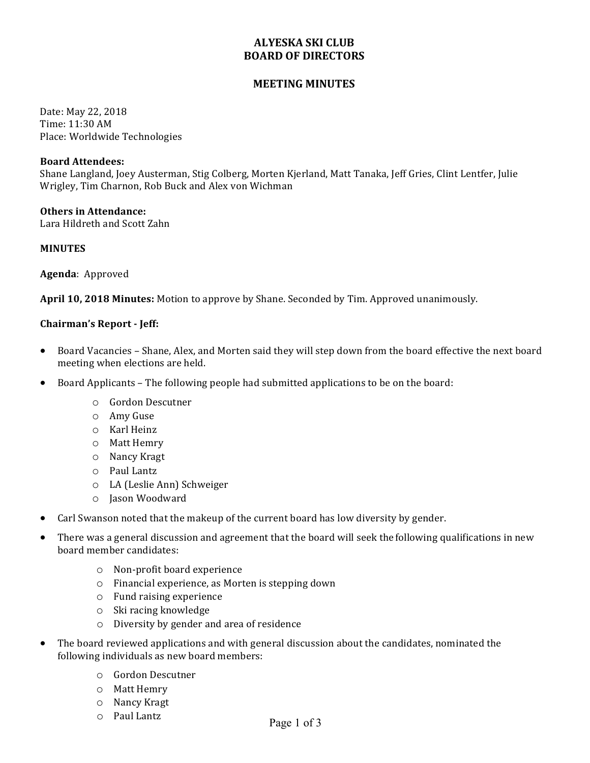# **ALYESKA SKI CLUB BOARD OF DIRECTORS**

# **MEETING MINUTES**

Date: May 22, 2018 Time: 11:30 AM Place: Worldwide Technologies

# **Board Attendees:**

Shane Langland, Joey Austerman, Stig Colberg, Morten Kjerland, Matt Tanaka, Jeff Gries, Clint Lentfer, Julie Wrigley, Tim Charnon, Rob Buck and Alex von Wichman

# **Others in Attendance:**

Lara Hildreth and Scott Zahn

#### **MINUTES**

**Agenda**: Approved

**April 10, 2018 Minutes:** Motion to approve by Shane. Seconded by Tim. Approved unanimously.

# **Chairman's Report - Jeff:**

- Board Vacancies Shane, Alex, and Morten said they will step down from the board effective the next board meeting when elections are held.
- Board Applicants The following people had submitted applications to be on the board:
	- o Gordon Descutner
	- o Amy Guse
	- o Karl Heinz
	- o Matt Hemry
	- o Nancy Kragt
	- o Paul Lantz
	- o LA (Leslie Ann) Schweiger
	- o Jason Woodward
- Carl Swanson noted that the makeup of the current board has low diversity by gender.
- There was a general discussion and agreement that the board will seek the following qualifications in new board member candidates:
	- o Non-profit board experience
	- o Financial experience, as Morten is stepping down
	- $\circ$  Fund raising experience
	- o Ski racing knowledge
	- o Diversity by gender and area of residence
- The board reviewed applications and with general discussion about the candidates, nominated the following individuals as new board members:
	- o Gordon Descutner
	- o Matt Hemry
	- o Nancy Kragt
	- o Paul Lantz